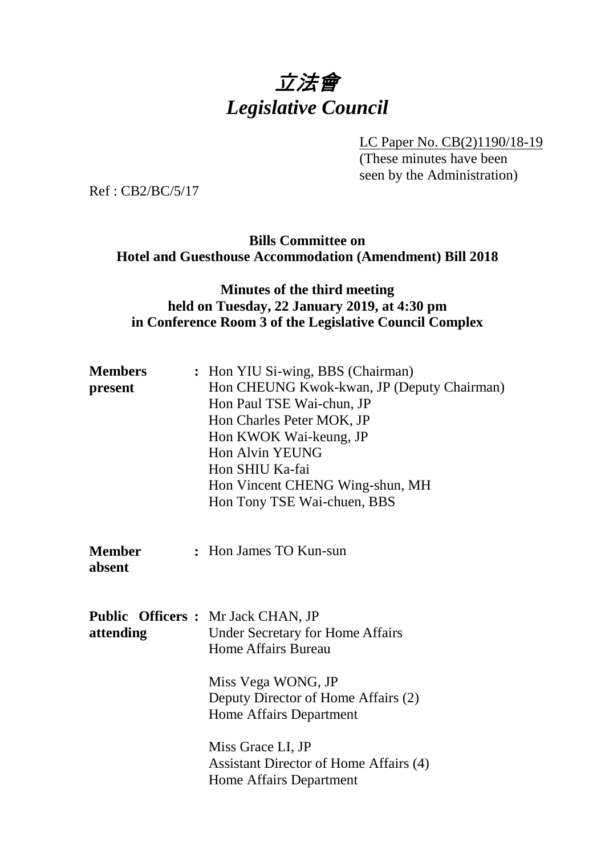# 立法會 *Legislative Council*

LC Paper No. CB(2)1190/18-19

(These minutes have been seen by the Administration)

Ref : CB2/BC/5/17

## **Bills Committee on Hotel and Guesthouse Accommodation (Amendment) Bill 2018**

#### **Minutes of the third meeting held on Tuesday, 22 January 2019, at 4:30 pm in Conference Room 3 of the Legislative Council Complex**

| <b>Members</b><br>present | : Hon YIU Si-wing, BBS (Chairman)<br>Hon CHEUNG Kwok-kwan, JP (Deputy Chairman)<br>Hon Paul TSE Wai-chun, JP<br>Hon Charles Peter MOK, JP<br>Hon KWOK Wai-keung, JP<br><b>Hon Alvin YEUNG</b><br>Hon SHIU Ka-fai<br>Hon Vincent CHENG Wing-shun, MH<br>Hon Tony TSE Wai-chuen, BBS            |
|---------------------------|-----------------------------------------------------------------------------------------------------------------------------------------------------------------------------------------------------------------------------------------------------------------------------------------------|
| <b>Member</b><br>absent   | : Hon James TO Kun-sun                                                                                                                                                                                                                                                                        |
| attending                 | <b>Public Officers : Mr Jack CHAN, JP</b><br><b>Under Secretary for Home Affairs</b><br>Home Affairs Bureau<br>Miss Vega WONG, JP<br>Deputy Director of Home Affairs (2)<br>Home Affairs Department<br>Miss Grace LI, JP<br>Assistant Director of Home Affairs (4)<br>Home Affairs Department |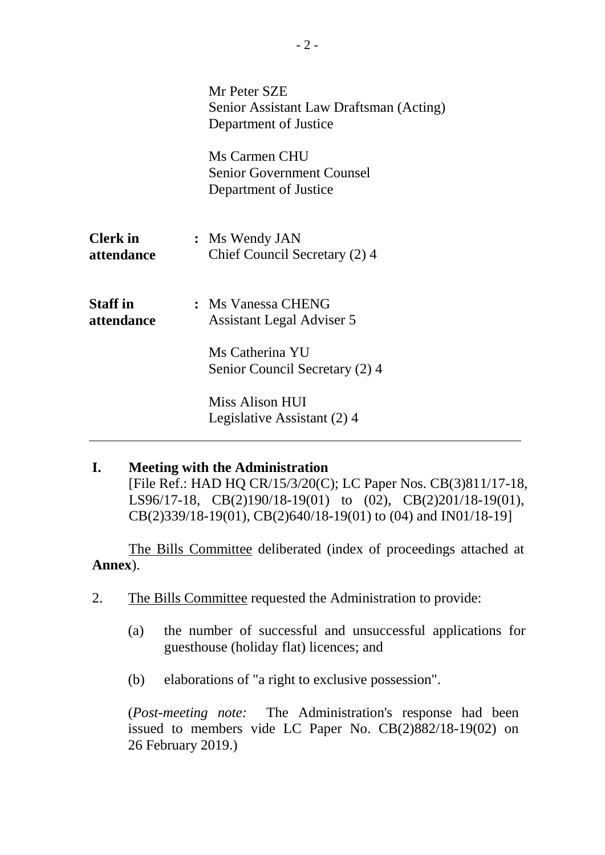|                               | Mr Peter SZE<br>Senior Assistant Law Draftsman (Acting)<br>Department of Justice |
|-------------------------------|----------------------------------------------------------------------------------|
|                               | Ms Carmen CHU<br><b>Senior Government Counsel</b><br>Department of Justice       |
| <b>Clerk</b> in<br>attendance | : Ms Wendy JAN<br>Chief Council Secretary (2) 4                                  |
| <b>Staff</b> in<br>attendance | : Ms Vanessa CHENG<br>Assistant Legal Adviser 5                                  |
|                               | Ms Catherina YU<br>Senior Council Secretary (2) 4                                |
|                               | Miss Alison HUI<br>Legislative Assistant (2) 4                                   |

#### **I. Meeting with the Administration** [File Ref.: HAD HQ CR/15/3/20(C); LC Paper Nos. CB(3)811/17-18,

LS96/17-18, CB(2)190/18-19(01) to (02), CB(2)201/18-19(01), CB(2)339/18-19(01), CB(2)640/18-19(01) to (04) and IN01/18-19]

The Bills Committee deliberated (index of proceedings attached at **Annex**).

- 2. The Bills Committee requested the Administration to provide:
	- (a) the number of successful and unsuccessful applications for guesthouse (holiday flat) licences; and
	- (b) elaborations of "a right to exclusive possession".

(*Post-meeting note:* The Administration's response had been issued to members vide LC Paper No. CB(2)882/18-19(02) on 26 February 2019.)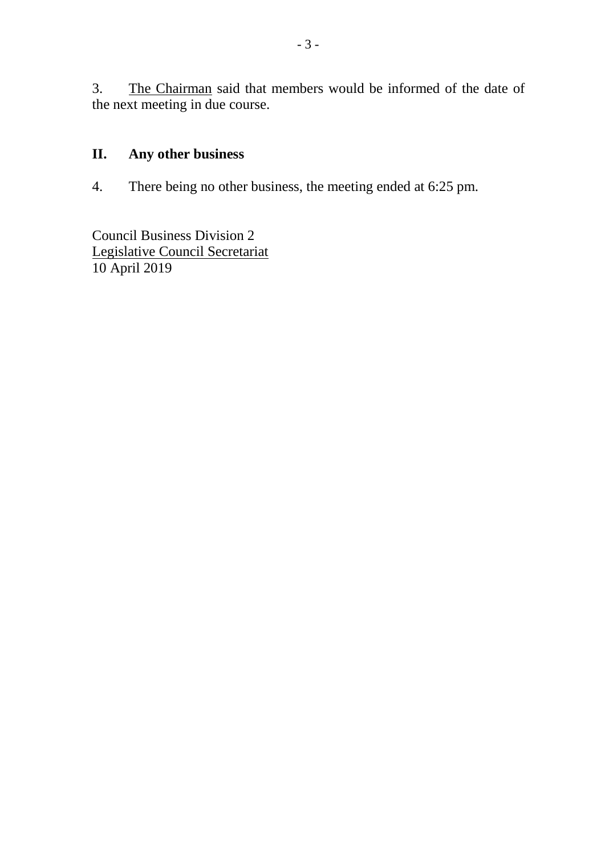3. The Chairman said that members would be informed of the date of the next meeting in due course.

## **II. Any other business**

4. There being no other business, the meeting ended at 6:25 pm.

Council Business Division 2 Legislative Council Secretariat 10 April 2019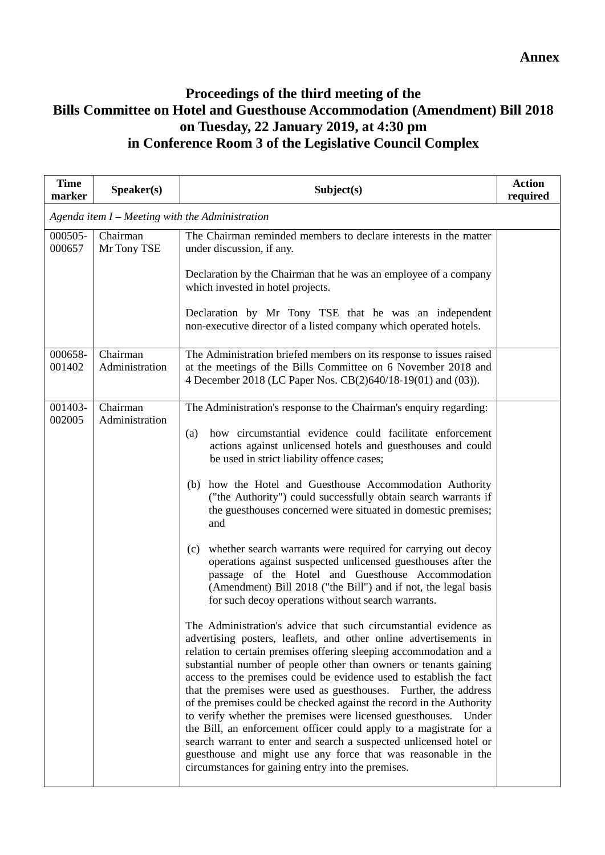### **Proceedings of the third meeting of the Bills Committee on Hotel and Guesthouse Accommodation (Amendment) Bill 2018 on Tuesday, 22 January 2019, at 4:30 pm in Conference Room 3 of the Legislative Council Complex**

| <b>Time</b><br>marker | Speaker(s)                 | Subject(s)                                                                                                                                                                                                                                                                                                                                                                                                                                                                                                                                                                                                                                                                                                                                                                                                                                                                                                                                                                                                                                                                                                                                                                                                                                                                                                                                                                                                                                                                                                                                                                                                                 | <b>Action</b><br>required |
|-----------------------|----------------------------|----------------------------------------------------------------------------------------------------------------------------------------------------------------------------------------------------------------------------------------------------------------------------------------------------------------------------------------------------------------------------------------------------------------------------------------------------------------------------------------------------------------------------------------------------------------------------------------------------------------------------------------------------------------------------------------------------------------------------------------------------------------------------------------------------------------------------------------------------------------------------------------------------------------------------------------------------------------------------------------------------------------------------------------------------------------------------------------------------------------------------------------------------------------------------------------------------------------------------------------------------------------------------------------------------------------------------------------------------------------------------------------------------------------------------------------------------------------------------------------------------------------------------------------------------------------------------------------------------------------------------|---------------------------|
|                       |                            | Agenda item $I$ – Meeting with the Administration                                                                                                                                                                                                                                                                                                                                                                                                                                                                                                                                                                                                                                                                                                                                                                                                                                                                                                                                                                                                                                                                                                                                                                                                                                                                                                                                                                                                                                                                                                                                                                          |                           |
| 000505-<br>000657     | Chairman<br>Mr Tony TSE    | The Chairman reminded members to declare interests in the matter<br>under discussion, if any.                                                                                                                                                                                                                                                                                                                                                                                                                                                                                                                                                                                                                                                                                                                                                                                                                                                                                                                                                                                                                                                                                                                                                                                                                                                                                                                                                                                                                                                                                                                              |                           |
|                       |                            | Declaration by the Chairman that he was an employee of a company<br>which invested in hotel projects.                                                                                                                                                                                                                                                                                                                                                                                                                                                                                                                                                                                                                                                                                                                                                                                                                                                                                                                                                                                                                                                                                                                                                                                                                                                                                                                                                                                                                                                                                                                      |                           |
|                       |                            | Declaration by Mr Tony TSE that he was an independent<br>non-executive director of a listed company which operated hotels.                                                                                                                                                                                                                                                                                                                                                                                                                                                                                                                                                                                                                                                                                                                                                                                                                                                                                                                                                                                                                                                                                                                                                                                                                                                                                                                                                                                                                                                                                                 |                           |
| 000658-<br>001402     | Chairman<br>Administration | The Administration briefed members on its response to issues raised<br>at the meetings of the Bills Committee on 6 November 2018 and<br>4 December 2018 (LC Paper Nos. CB(2)640/18-19(01) and (03)).                                                                                                                                                                                                                                                                                                                                                                                                                                                                                                                                                                                                                                                                                                                                                                                                                                                                                                                                                                                                                                                                                                                                                                                                                                                                                                                                                                                                                       |                           |
| 001403-<br>002005     | Chairman<br>Administration | The Administration's response to the Chairman's enquiry regarding:<br>how circumstantial evidence could facilitate enforcement<br>(a)<br>actions against unlicensed hotels and guesthouses and could<br>be used in strict liability offence cases;<br>(b) how the Hotel and Guesthouse Accommodation Authority<br>("the Authority") could successfully obtain search warrants if<br>the guesthouses concerned were situated in domestic premises;<br>and<br>(c) whether search warrants were required for carrying out decoy<br>operations against suspected unlicensed guesthouses after the<br>passage of the Hotel and Guesthouse Accommodation<br>(Amendment) Bill 2018 ("the Bill") and if not, the legal basis<br>for such decoy operations without search warrants.<br>The Administration's advice that such circumstantial evidence as<br>advertising posters, leaflets, and other online advertisements in<br>relation to certain premises offering sleeping accommodation and a<br>substantial number of people other than owners or tenants gaining<br>access to the premises could be evidence used to establish the fact<br>that the premises were used as guesthouses. Further, the address<br>of the premises could be checked against the record in the Authority<br>to verify whether the premises were licensed guesthouses.<br>Under<br>the Bill, an enforcement officer could apply to a magistrate for a<br>search warrant to enter and search a suspected unlicensed hotel or<br>guesthouse and might use any force that was reasonable in the<br>circumstances for gaining entry into the premises. |                           |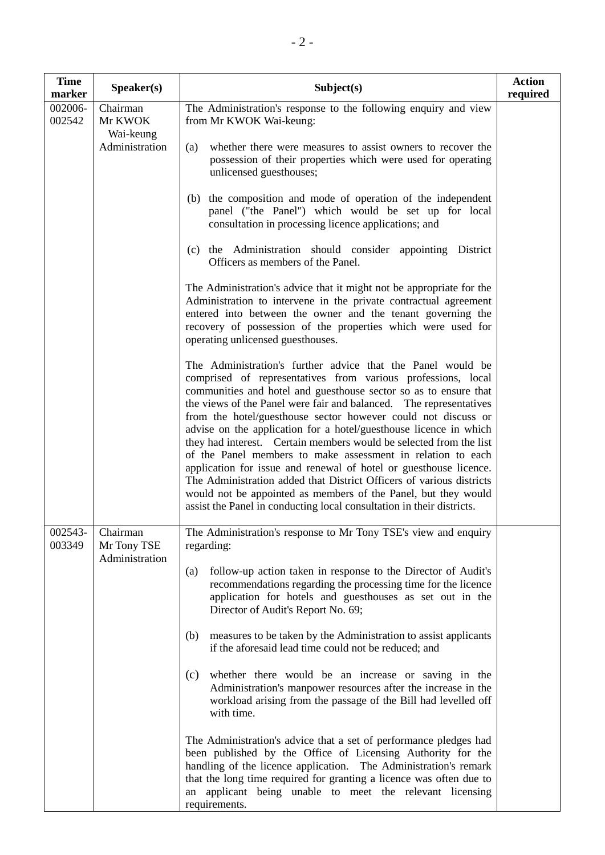| <b>Time</b><br>marker | Speaker(s)                                | Subject(s)                                                                                                                                                                                                                                                                                                                                                                                                                                                                                                                                                                                                                                                                                                                                                                                                                               | <b>Action</b><br>required |
|-----------------------|-------------------------------------------|------------------------------------------------------------------------------------------------------------------------------------------------------------------------------------------------------------------------------------------------------------------------------------------------------------------------------------------------------------------------------------------------------------------------------------------------------------------------------------------------------------------------------------------------------------------------------------------------------------------------------------------------------------------------------------------------------------------------------------------------------------------------------------------------------------------------------------------|---------------------------|
| 002006-<br>002542     | Chairman<br>Mr KWOK<br>Wai-keung          | The Administration's response to the following enquiry and view<br>from Mr KWOK Wai-keung:                                                                                                                                                                                                                                                                                                                                                                                                                                                                                                                                                                                                                                                                                                                                               |                           |
|                       | Administration                            | whether there were measures to assist owners to recover the<br>(a)<br>possession of their properties which were used for operating<br>unlicensed guesthouses;                                                                                                                                                                                                                                                                                                                                                                                                                                                                                                                                                                                                                                                                            |                           |
|                       |                                           | the composition and mode of operation of the independent<br>(b)<br>panel ("the Panel") which would be set up for local<br>consultation in processing licence applications; and                                                                                                                                                                                                                                                                                                                                                                                                                                                                                                                                                                                                                                                           |                           |
|                       |                                           | the Administration should consider appointing District<br>(c)<br>Officers as members of the Panel.                                                                                                                                                                                                                                                                                                                                                                                                                                                                                                                                                                                                                                                                                                                                       |                           |
|                       |                                           | The Administration's advice that it might not be appropriate for the<br>Administration to intervene in the private contractual agreement<br>entered into between the owner and the tenant governing the<br>recovery of possession of the properties which were used for<br>operating unlicensed guesthouses.                                                                                                                                                                                                                                                                                                                                                                                                                                                                                                                             |                           |
|                       |                                           | The Administration's further advice that the Panel would be<br>comprised of representatives from various professions, local<br>communities and hotel and guesthouse sector so as to ensure that<br>the views of the Panel were fair and balanced. The representatives<br>from the hotel/guesthouse sector however could not discuss or<br>advise on the application for a hotel/guesthouse licence in which<br>they had interest. Certain members would be selected from the list<br>of the Panel members to make assessment in relation to each<br>application for issue and renewal of hotel or guesthouse licence.<br>The Administration added that District Officers of various districts<br>would not be appointed as members of the Panel, but they would<br>assist the Panel in conducting local consultation in their districts. |                           |
| 002543-<br>003349     | Chairman<br>Mr Tony TSE<br>Administration | The Administration's response to Mr Tony TSE's view and enquiry<br>regarding:                                                                                                                                                                                                                                                                                                                                                                                                                                                                                                                                                                                                                                                                                                                                                            |                           |
|                       |                                           | follow-up action taken in response to the Director of Audit's<br>(a)<br>recommendations regarding the processing time for the licence<br>application for hotels and guesthouses as set out in the<br>Director of Audit's Report No. 69;                                                                                                                                                                                                                                                                                                                                                                                                                                                                                                                                                                                                  |                           |
|                       |                                           | measures to be taken by the Administration to assist applicants<br>(b)<br>if the aforesaid lead time could not be reduced; and                                                                                                                                                                                                                                                                                                                                                                                                                                                                                                                                                                                                                                                                                                           |                           |
|                       |                                           | whether there would be an increase or saving in the<br>(c)<br>Administration's manpower resources after the increase in the<br>workload arising from the passage of the Bill had levelled off<br>with time.                                                                                                                                                                                                                                                                                                                                                                                                                                                                                                                                                                                                                              |                           |
|                       |                                           | The Administration's advice that a set of performance pledges had<br>been published by the Office of Licensing Authority for the<br>handling of the licence application. The Administration's remark<br>that the long time required for granting a licence was often due to<br>an applicant being unable to meet the relevant licensing<br>requirements.                                                                                                                                                                                                                                                                                                                                                                                                                                                                                 |                           |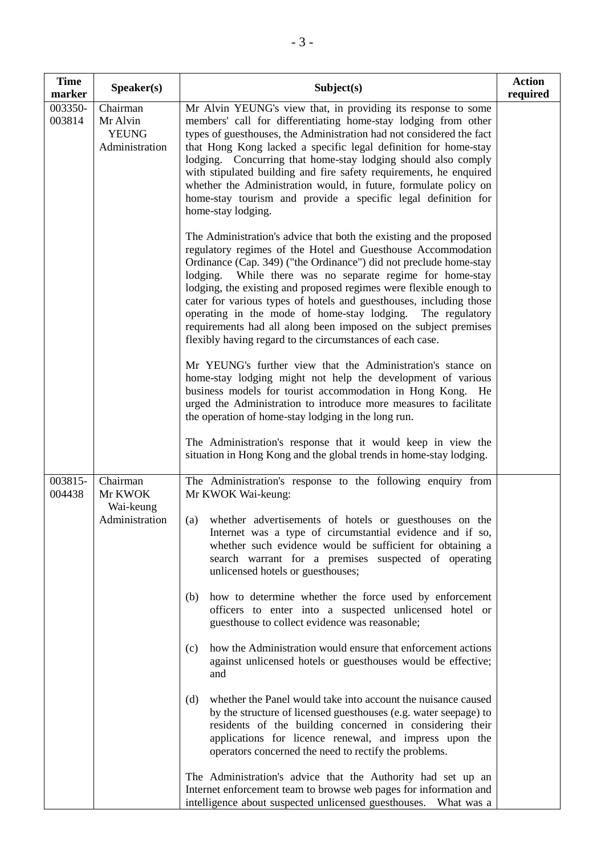| <b>Time</b><br>marker | Speaker(s)                                             | Subject(s)                                                                                                                                                                                                                                                                                                                                                                                                                                                                                                                                                                                                                                                                                                                                                                                                                                       | <b>Action</b><br>required |
|-----------------------|--------------------------------------------------------|--------------------------------------------------------------------------------------------------------------------------------------------------------------------------------------------------------------------------------------------------------------------------------------------------------------------------------------------------------------------------------------------------------------------------------------------------------------------------------------------------------------------------------------------------------------------------------------------------------------------------------------------------------------------------------------------------------------------------------------------------------------------------------------------------------------------------------------------------|---------------------------|
| 003350-<br>003814     | Chairman<br>Mr Alvin<br><b>YEUNG</b><br>Administration | Mr Alvin YEUNG's view that, in providing its response to some<br>members' call for differentiating home-stay lodging from other<br>types of guesthouses, the Administration had not considered the fact<br>that Hong Kong lacked a specific legal definition for home-stay<br>lodging. Concurring that home-stay lodging should also comply<br>with stipulated building and fire safety requirements, he enquired<br>whether the Administration would, in future, formulate policy on<br>home-stay tourism and provide a specific legal definition for<br>home-stay lodging.                                                                                                                                                                                                                                                                     |                           |
|                       |                                                        | The Administration's advice that both the existing and the proposed<br>regulatory regimes of the Hotel and Guesthouse Accommodation<br>Ordinance (Cap. 349) ("the Ordinance") did not preclude home-stay<br>While there was no separate regime for home-stay<br>lodging.<br>lodging, the existing and proposed regimes were flexible enough to<br>cater for various types of hotels and guesthouses, including those<br>operating in the mode of home-stay lodging. The regulatory<br>requirements had all along been imposed on the subject premises<br>flexibly having regard to the circumstances of each case.                                                                                                                                                                                                                               |                           |
|                       |                                                        | Mr YEUNG's further view that the Administration's stance on<br>home-stay lodging might not help the development of various<br>business models for tourist accommodation in Hong Kong.<br>He<br>urged the Administration to introduce more measures to facilitate<br>the operation of home-stay lodging in the long run.                                                                                                                                                                                                                                                                                                                                                                                                                                                                                                                          |                           |
|                       |                                                        | The Administration's response that it would keep in view the<br>situation in Hong Kong and the global trends in home-stay lodging.                                                                                                                                                                                                                                                                                                                                                                                                                                                                                                                                                                                                                                                                                                               |                           |
| 003815-<br>004438     | Chairman<br>Mr KWOK<br>Wai-keung<br>Administration     | The Administration's response to the following enquiry from<br>Mr KWOK Wai-keung:<br>whether advertisements of hotels or guesthouses on the<br>(a)<br>Internet was a type of circumstantial evidence and if so,<br>whether such evidence would be sufficient for obtaining a<br>search warrant for a premises suspected of operating<br>unlicensed hotels or guesthouses;<br>how to determine whether the force used by enforcement<br>(b)<br>officers to enter into a suspected unlicensed hotel or<br>guesthouse to collect evidence was reasonable;<br>how the Administration would ensure that enforcement actions<br>(c)<br>against unlicensed hotels or guesthouses would be effective;<br>and<br>whether the Panel would take into account the nuisance caused<br>(d)<br>by the structure of licensed guesthouses (e.g. water seepage) to |                           |
|                       |                                                        | residents of the building concerned in considering their<br>applications for licence renewal, and impress upon the<br>operators concerned the need to rectify the problems.<br>The Administration's advice that the Authority had set up an<br>Internet enforcement team to browse web pages for information and<br>intelligence about suspected unlicensed guesthouses.<br>What was a                                                                                                                                                                                                                                                                                                                                                                                                                                                           |                           |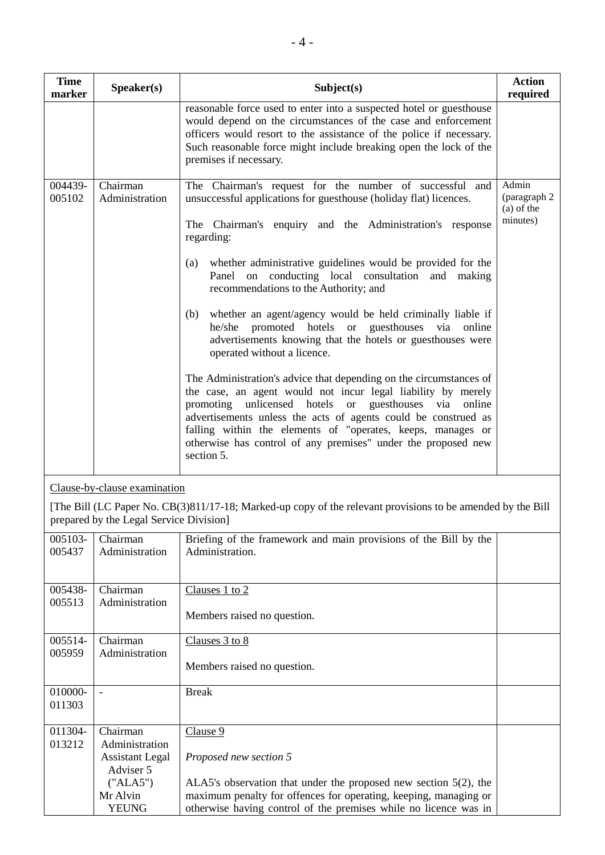| <b>Time</b><br>marker | Speaker(s)                 | Subject(s)                                                                                                                                                                                                                                                                                                                                                                                                                                                                                                                                                                                                                                                                                                                                                                                                                                                                                                                                                                                                         | <b>Action</b><br>required                         |
|-----------------------|----------------------------|--------------------------------------------------------------------------------------------------------------------------------------------------------------------------------------------------------------------------------------------------------------------------------------------------------------------------------------------------------------------------------------------------------------------------------------------------------------------------------------------------------------------------------------------------------------------------------------------------------------------------------------------------------------------------------------------------------------------------------------------------------------------------------------------------------------------------------------------------------------------------------------------------------------------------------------------------------------------------------------------------------------------|---------------------------------------------------|
|                       |                            | reasonable force used to enter into a suspected hotel or guesthouse<br>would depend on the circumstances of the case and enforcement<br>officers would resort to the assistance of the police if necessary.<br>Such reasonable force might include breaking open the lock of the<br>premises if necessary.                                                                                                                                                                                                                                                                                                                                                                                                                                                                                                                                                                                                                                                                                                         |                                                   |
| 004439-<br>005102     | Chairman<br>Administration | The Chairman's request for the number of successful and<br>unsuccessful applications for guesthouse (holiday flat) licences.<br>The Chairman's enquiry and the Administration's response<br>regarding:<br>whether administrative guidelines would be provided for the<br>(a)<br>Panel on conducting local consultation and making<br>recommendations to the Authority; and<br>whether an agent/agency would be held criminally liable if<br>(b)<br>promoted hotels or guesthouses via online<br>he/she<br>advertisements knowing that the hotels or guesthouses were<br>operated without a licence.<br>The Administration's advice that depending on the circumstances of<br>the case, an agent would not incur legal liability by merely<br>promoting unlicensed hotels or guesthouses via online<br>advertisements unless the acts of agents could be construed as<br>falling within the elements of "operates, keeps, manages or<br>otherwise has control of any premises" under the proposed new<br>section 5. | Admin<br>(paragraph 2<br>$(a)$ of the<br>minutes) |

Clause-by-clause examination

[The Bill (LC Paper No. CB(3)811/17-18; Marked-up copy of the relevant provisions to be amended by the Bill prepared by the Legal Service Division]

| 005103-<br>005437 | Chairman<br>Administration          | Briefing of the framework and main provisions of the Bill by the<br>Administration. |  |
|-------------------|-------------------------------------|-------------------------------------------------------------------------------------|--|
| 005438-           | Chairman                            | Clauses 1 to 2                                                                      |  |
| 005513            | Administration                      | Members raised no question.                                                         |  |
| 005514-           | Chairman                            | Clauses 3 to 8                                                                      |  |
| 005959            | Administration                      | Members raised no question.                                                         |  |
| 010000-           | $\blacksquare$                      | <b>Break</b>                                                                        |  |
| 011303            |                                     |                                                                                     |  |
| 011304-           | Chairman                            | Clause 9                                                                            |  |
| 013212            | Administration                      |                                                                                     |  |
|                   | <b>Assistant Legal</b><br>Adviser 5 | Proposed new section 5                                                              |  |
|                   | ("ALA5")                            | ALA5's observation that under the proposed new section $5(2)$ , the                 |  |
|                   | Mr Alvin                            | maximum penalty for offences for operating, keeping, managing or                    |  |
|                   | YEUNG                               | otherwise having control of the premises while no licence was in                    |  |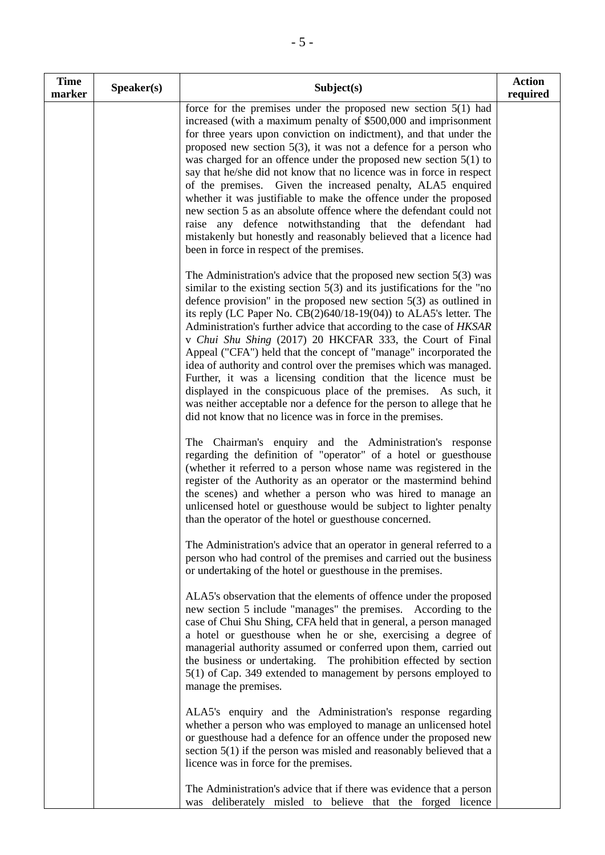| <b>Time</b><br>marker | Speaker(s) | Subject(s)                                                                                                                                                                                                                                                                                                                                                                                                                                                                                                                                                                                                                                                                                                                                                                                                                                                   | <b>Action</b><br>required |
|-----------------------|------------|--------------------------------------------------------------------------------------------------------------------------------------------------------------------------------------------------------------------------------------------------------------------------------------------------------------------------------------------------------------------------------------------------------------------------------------------------------------------------------------------------------------------------------------------------------------------------------------------------------------------------------------------------------------------------------------------------------------------------------------------------------------------------------------------------------------------------------------------------------------|---------------------------|
|                       |            | force for the premises under the proposed new section $5(1)$ had<br>increased (with a maximum penalty of \$500,000 and imprisonment<br>for three years upon conviction on indictment), and that under the<br>proposed new section $5(3)$ , it was not a defence for a person who<br>was charged for an offence under the proposed new section $5(1)$ to<br>say that he/she did not know that no licence was in force in respect<br>of the premises. Given the increased penalty, ALA5 enquired<br>whether it was justifiable to make the offence under the proposed<br>new section 5 as an absolute offence where the defendant could not<br>raise any defence notwithstanding that the defendant had<br>mistakenly but honestly and reasonably believed that a licence had<br>been in force in respect of the premises.                                     |                           |
|                       |            | The Administration's advice that the proposed new section $5(3)$ was<br>similar to the existing section $5(3)$ and its justifications for the "no<br>defence provision" in the proposed new section $5(3)$ as outlined in<br>its reply (LC Paper No. $CB(2)640/18-19(04)$ ) to ALA5's letter. The<br>Administration's further advice that according to the case of HKSAR<br>v Chui Shu Shing (2017) 20 HKCFAR 333, the Court of Final<br>Appeal ("CFA") held that the concept of "manage" incorporated the<br>idea of authority and control over the premises which was managed.<br>Further, it was a licensing condition that the licence must be<br>displayed in the conspicuous place of the premises. As such, it<br>was neither acceptable nor a defence for the person to allege that he<br>did not know that no licence was in force in the premises. |                           |
|                       |            | The Chairman's enquiry and the Administration's response<br>regarding the definition of "operator" of a hotel or guesthouse<br>(whether it referred to a person whose name was registered in the<br>register of the Authority as an operator or the mastermind behind<br>the scenes) and whether a person who was hired to manage an<br>unlicensed hotel or guesthouse would be subject to lighter penalty<br>than the operator of the hotel or guesthouse concerned.                                                                                                                                                                                                                                                                                                                                                                                        |                           |
|                       |            | The Administration's advice that an operator in general referred to a<br>person who had control of the premises and carried out the business<br>or undertaking of the hotel or guesthouse in the premises.                                                                                                                                                                                                                                                                                                                                                                                                                                                                                                                                                                                                                                                   |                           |
|                       |            | ALA5's observation that the elements of offence under the proposed<br>new section 5 include "manages" the premises. According to the<br>case of Chui Shu Shing, CFA held that in general, a person managed<br>a hotel or guesthouse when he or she, exercising a degree of<br>managerial authority assumed or conferred upon them, carried out<br>the business or undertaking. The prohibition effected by section<br>5(1) of Cap. 349 extended to management by persons employed to<br>manage the premises.                                                                                                                                                                                                                                                                                                                                                 |                           |
|                       |            | ALA5's enquiry and the Administration's response regarding<br>whether a person who was employed to manage an unlicensed hotel<br>or guesthouse had a defence for an offence under the proposed new<br>section $5(1)$ if the person was misled and reasonably believed that a<br>licence was in force for the premises.                                                                                                                                                                                                                                                                                                                                                                                                                                                                                                                                       |                           |
|                       |            | The Administration's advice that if there was evidence that a person<br>deliberately misled to believe that the forged licence<br>was                                                                                                                                                                                                                                                                                                                                                                                                                                                                                                                                                                                                                                                                                                                        |                           |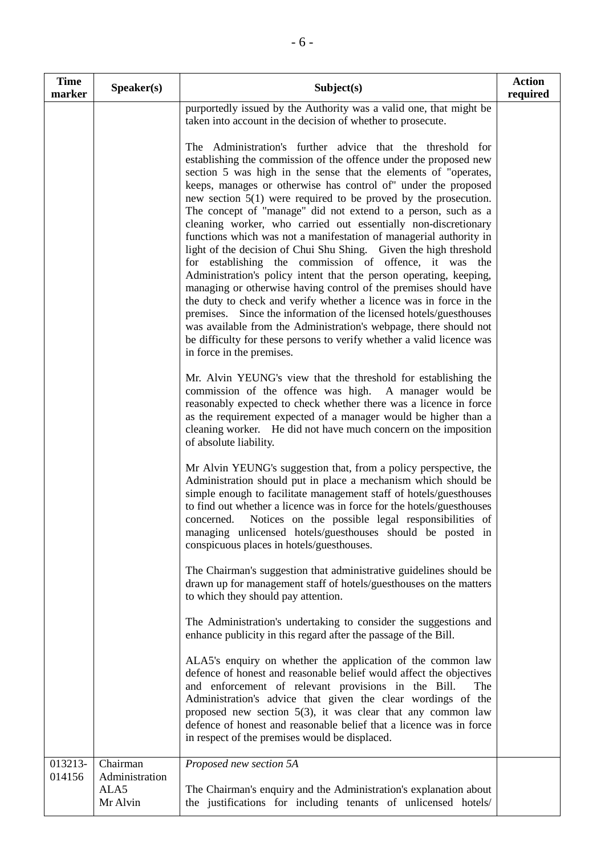| <b>Time</b><br>marker | Speaker(s)                 | Subject(s)                                                                                                                                                                                                                                                                                                                                                                                                                                                                                                                                                                                                                                                                                                                                                                                                                                                                                                                                                                                                                                                                                                                                         | <b>Action</b><br>required |
|-----------------------|----------------------------|----------------------------------------------------------------------------------------------------------------------------------------------------------------------------------------------------------------------------------------------------------------------------------------------------------------------------------------------------------------------------------------------------------------------------------------------------------------------------------------------------------------------------------------------------------------------------------------------------------------------------------------------------------------------------------------------------------------------------------------------------------------------------------------------------------------------------------------------------------------------------------------------------------------------------------------------------------------------------------------------------------------------------------------------------------------------------------------------------------------------------------------------------|---------------------------|
|                       |                            | purportedly issued by the Authority was a valid one, that might be<br>taken into account in the decision of whether to prosecute.                                                                                                                                                                                                                                                                                                                                                                                                                                                                                                                                                                                                                                                                                                                                                                                                                                                                                                                                                                                                                  |                           |
|                       |                            | The Administration's further advice that the threshold for<br>establishing the commission of the offence under the proposed new<br>section 5 was high in the sense that the elements of "operates,<br>keeps, manages or otherwise has control of" under the proposed<br>new section $5(1)$ were required to be proved by the prosecution.<br>The concept of "manage" did not extend to a person, such as a<br>cleaning worker, who carried out essentially non-discretionary<br>functions which was not a manifestation of managerial authority in<br>light of the decision of Chui Shu Shing. Given the high threshold<br>for establishing the commission of offence, it was the<br>Administration's policy intent that the person operating, keeping,<br>managing or otherwise having control of the premises should have<br>the duty to check and verify whether a licence was in force in the<br>premises. Since the information of the licensed hotels/guesthouses<br>was available from the Administration's webpage, there should not<br>be difficulty for these persons to verify whether a valid licence was<br>in force in the premises. |                           |
|                       |                            | Mr. Alvin YEUNG's view that the threshold for establishing the<br>commission of the offence was high. A manager would be<br>reasonably expected to check whether there was a licence in force<br>as the requirement expected of a manager would be higher than a<br>cleaning worker. He did not have much concern on the imposition<br>of absolute liability.                                                                                                                                                                                                                                                                                                                                                                                                                                                                                                                                                                                                                                                                                                                                                                                      |                           |
|                       |                            | Mr Alvin YEUNG's suggestion that, from a policy perspective, the<br>Administration should put in place a mechanism which should be<br>simple enough to facilitate management staff of hotels/guesthouses<br>to find out whether a licence was in force for the hotels/guesthouses<br>Notices on the possible legal responsibilities of<br>concerned.<br>managing unlicensed hotels/guesthouses should be posted in<br>conspicuous places in hotels/guesthouses.                                                                                                                                                                                                                                                                                                                                                                                                                                                                                                                                                                                                                                                                                    |                           |
|                       |                            | The Chairman's suggestion that administrative guidelines should be<br>drawn up for management staff of hotels/guesthouses on the matters<br>to which they should pay attention.                                                                                                                                                                                                                                                                                                                                                                                                                                                                                                                                                                                                                                                                                                                                                                                                                                                                                                                                                                    |                           |
|                       |                            | The Administration's undertaking to consider the suggestions and<br>enhance publicity in this regard after the passage of the Bill.                                                                                                                                                                                                                                                                                                                                                                                                                                                                                                                                                                                                                                                                                                                                                                                                                                                                                                                                                                                                                |                           |
|                       |                            | ALA5's enquiry on whether the application of the common law<br>defence of honest and reasonable belief would affect the objectives<br>and enforcement of relevant provisions in the Bill.<br>The<br>Administration's advice that given the clear wordings of the<br>proposed new section $5(3)$ , it was clear that any common law<br>defence of honest and reasonable belief that a licence was in force<br>in respect of the premises would be displaced.                                                                                                                                                                                                                                                                                                                                                                                                                                                                                                                                                                                                                                                                                        |                           |
| 013213-<br>014156     | Chairman<br>Administration | Proposed new section 5A                                                                                                                                                                                                                                                                                                                                                                                                                                                                                                                                                                                                                                                                                                                                                                                                                                                                                                                                                                                                                                                                                                                            |                           |
|                       | ALA5<br>Mr Alvin           | The Chairman's enquiry and the Administration's explanation about<br>the justifications for including tenants of unlicensed hotels/                                                                                                                                                                                                                                                                                                                                                                                                                                                                                                                                                                                                                                                                                                                                                                                                                                                                                                                                                                                                                |                           |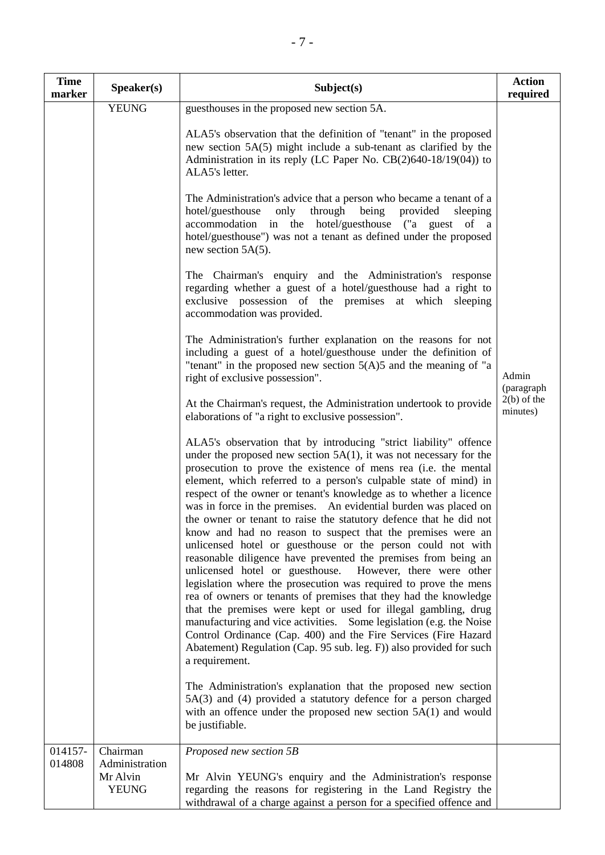| <b>Time</b><br>marker | Speaker(s)                                 | Subject(s)                                                                                                                                                                                                                                                                                                                                                                                                                                                                                                                                                                                                                                                                                                                                                                                                                                                                                                                                                                                                                                                                                                                                                                                                                                                                                                                                                                                                           | <b>Action</b><br>required |
|-----------------------|--------------------------------------------|----------------------------------------------------------------------------------------------------------------------------------------------------------------------------------------------------------------------------------------------------------------------------------------------------------------------------------------------------------------------------------------------------------------------------------------------------------------------------------------------------------------------------------------------------------------------------------------------------------------------------------------------------------------------------------------------------------------------------------------------------------------------------------------------------------------------------------------------------------------------------------------------------------------------------------------------------------------------------------------------------------------------------------------------------------------------------------------------------------------------------------------------------------------------------------------------------------------------------------------------------------------------------------------------------------------------------------------------------------------------------------------------------------------------|---------------------------|
|                       | <b>YEUNG</b>                               | guesthouses in the proposed new section 5A.                                                                                                                                                                                                                                                                                                                                                                                                                                                                                                                                                                                                                                                                                                                                                                                                                                                                                                                                                                                                                                                                                                                                                                                                                                                                                                                                                                          |                           |
|                       |                                            | ALA5's observation that the definition of "tenant" in the proposed<br>new section 5A(5) might include a sub-tenant as clarified by the<br>Administration in its reply (LC Paper No. CB(2)640-18/19(04)) to<br>ALA5's letter.                                                                                                                                                                                                                                                                                                                                                                                                                                                                                                                                                                                                                                                                                                                                                                                                                                                                                                                                                                                                                                                                                                                                                                                         |                           |
|                       |                                            | The Administration's advice that a person who became a tenant of a<br>hotel/guesthouse<br>only<br>through<br>being<br>provided<br>sleeping<br>accommodation in the hotel/guesthouse ("a guest of a<br>hotel/guesthouse") was not a tenant as defined under the proposed<br>new section $5A(5)$ .                                                                                                                                                                                                                                                                                                                                                                                                                                                                                                                                                                                                                                                                                                                                                                                                                                                                                                                                                                                                                                                                                                                     |                           |
|                       |                                            | The Chairman's enquiry and the Administration's response<br>regarding whether a guest of a hotel/guesthouse had a right to<br>exclusive possession of the premises at which sleeping<br>accommodation was provided.                                                                                                                                                                                                                                                                                                                                                                                                                                                                                                                                                                                                                                                                                                                                                                                                                                                                                                                                                                                                                                                                                                                                                                                                  |                           |
|                       |                                            | The Administration's further explanation on the reasons for not<br>including a guest of a hotel/guesthouse under the definition of<br>"tenant" in the proposed new section $5(A)5$ and the meaning of "a<br>right of exclusive possession".                                                                                                                                                                                                                                                                                                                                                                                                                                                                                                                                                                                                                                                                                                                                                                                                                                                                                                                                                                                                                                                                                                                                                                          | Admin<br>(paragraph       |
|                       |                                            | At the Chairman's request, the Administration undertook to provide<br>elaborations of "a right to exclusive possession".                                                                                                                                                                                                                                                                                                                                                                                                                                                                                                                                                                                                                                                                                                                                                                                                                                                                                                                                                                                                                                                                                                                                                                                                                                                                                             | $2(b)$ of the<br>minutes) |
|                       |                                            | ALA5's observation that by introducing "strict liability" offence<br>under the proposed new section $5A(1)$ , it was not necessary for the<br>prosecution to prove the existence of mens rea (i.e. the mental<br>element, which referred to a person's culpable state of mind) in<br>respect of the owner or tenant's knowledge as to whether a licence<br>was in force in the premises. An evidential burden was placed on<br>the owner or tenant to raise the statutory defence that he did not<br>know and had no reason to suspect that the premises were an<br>unlicensed hotel or guesthouse or the person could not with<br>reasonable diligence have prevented the premises from being an<br>unlicensed hotel or guesthouse. However, there were other<br>legislation where the prosecution was required to prove the mens<br>rea of owners or tenants of premises that they had the knowledge<br>that the premises were kept or used for illegal gambling, drug<br>manufacturing and vice activities. Some legislation (e.g. the Noise<br>Control Ordinance (Cap. 400) and the Fire Services (Fire Hazard<br>Abatement) Regulation (Cap. 95 sub. leg. F)) also provided for such<br>a requirement.<br>The Administration's explanation that the proposed new section<br>5A(3) and (4) provided a statutory defence for a person charged<br>with an offence under the proposed new section $5A(1)$ and would |                           |
| 014157-               | Chairman                                   | be justifiable.<br>Proposed new section 5B                                                                                                                                                                                                                                                                                                                                                                                                                                                                                                                                                                                                                                                                                                                                                                                                                                                                                                                                                                                                                                                                                                                                                                                                                                                                                                                                                                           |                           |
| 014808                | Administration<br>Mr Alvin<br><b>YEUNG</b> | Mr Alvin YEUNG's enquiry and the Administration's response<br>regarding the reasons for registering in the Land Registry the<br>withdrawal of a charge against a person for a specified offence and                                                                                                                                                                                                                                                                                                                                                                                                                                                                                                                                                                                                                                                                                                                                                                                                                                                                                                                                                                                                                                                                                                                                                                                                                  |                           |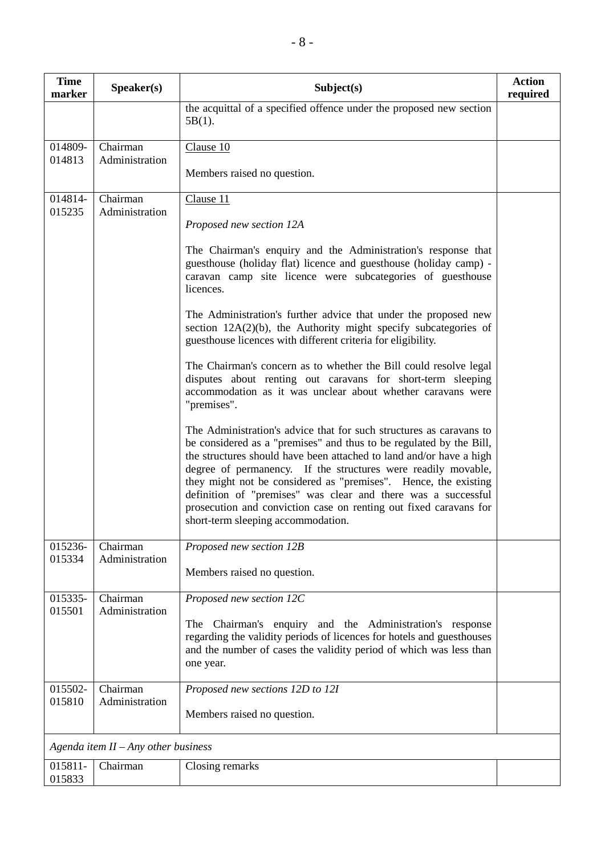| <b>Time</b><br>marker | Speaker(s)                            | Subject(s)                                                                                                                                                                                                                                                                                                                                                                                                                                                                                                                        | <b>Action</b><br>required |  |
|-----------------------|---------------------------------------|-----------------------------------------------------------------------------------------------------------------------------------------------------------------------------------------------------------------------------------------------------------------------------------------------------------------------------------------------------------------------------------------------------------------------------------------------------------------------------------------------------------------------------------|---------------------------|--|
|                       |                                       | the acquittal of a specified offence under the proposed new section<br>$5B(1)$ .                                                                                                                                                                                                                                                                                                                                                                                                                                                  |                           |  |
| 014809-<br>014813     | Chairman<br>Administration            | Clause 10                                                                                                                                                                                                                                                                                                                                                                                                                                                                                                                         |                           |  |
|                       |                                       | Members raised no question.                                                                                                                                                                                                                                                                                                                                                                                                                                                                                                       |                           |  |
| 014814-<br>015235     | Chairman<br>Administration            | Clause 11                                                                                                                                                                                                                                                                                                                                                                                                                                                                                                                         |                           |  |
|                       |                                       | Proposed new section 12A                                                                                                                                                                                                                                                                                                                                                                                                                                                                                                          |                           |  |
|                       |                                       | The Chairman's enquiry and the Administration's response that<br>guesthouse (holiday flat) licence and guesthouse (holiday camp) -<br>caravan camp site licence were subcategories of guesthouse<br>licences.                                                                                                                                                                                                                                                                                                                     |                           |  |
|                       |                                       | The Administration's further advice that under the proposed new<br>section $12A(2)(b)$ , the Authority might specify subcategories of<br>guesthouse licences with different criteria for eligibility.                                                                                                                                                                                                                                                                                                                             |                           |  |
|                       |                                       | The Chairman's concern as to whether the Bill could resolve legal<br>disputes about renting out caravans for short-term sleeping<br>accommodation as it was unclear about whether caravans were<br>"premises".                                                                                                                                                                                                                                                                                                                    |                           |  |
|                       |                                       | The Administration's advice that for such structures as caravans to<br>be considered as a "premises" and thus to be regulated by the Bill,<br>the structures should have been attached to land and/or have a high<br>degree of permanency. If the structures were readily movable,<br>they might not be considered as "premises". Hence, the existing<br>definition of "premises" was clear and there was a successful<br>prosecution and conviction case on renting out fixed caravans for<br>short-term sleeping accommodation. |                           |  |
| 015236-<br>015334     | Chairman<br>Administration            | Proposed new section 12B                                                                                                                                                                                                                                                                                                                                                                                                                                                                                                          |                           |  |
|                       |                                       | Members raised no question.                                                                                                                                                                                                                                                                                                                                                                                                                                                                                                       |                           |  |
| 015335-<br>015501     | Chairman<br>Administration            | Proposed new section 12C                                                                                                                                                                                                                                                                                                                                                                                                                                                                                                          |                           |  |
|                       |                                       | Chairman's enquiry and the Administration's response<br>The<br>regarding the validity periods of licences for hotels and guesthouses<br>and the number of cases the validity period of which was less than<br>one year.                                                                                                                                                                                                                                                                                                           |                           |  |
| 015502-               | Chairman<br>Administration            | Proposed new sections 12D to 12I                                                                                                                                                                                                                                                                                                                                                                                                                                                                                                  |                           |  |
| 015810                |                                       | Members raised no question.                                                                                                                                                                                                                                                                                                                                                                                                                                                                                                       |                           |  |
|                       | Agenda item $II - Any$ other business |                                                                                                                                                                                                                                                                                                                                                                                                                                                                                                                                   |                           |  |
| 015811-<br>015833     | Chairman                              | Closing remarks                                                                                                                                                                                                                                                                                                                                                                                                                                                                                                                   |                           |  |